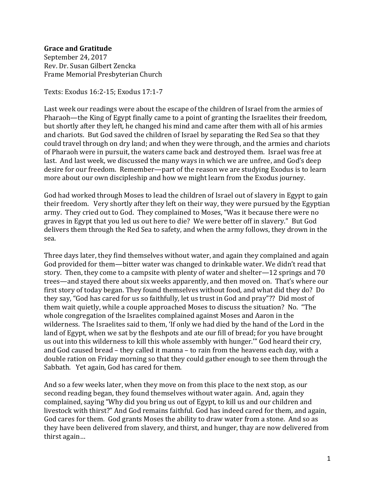## **Grace and Gratitude**

September 24, 2017 Rev. Dr. Susan Gilbert Zencka Frame Memorial Presbyterian Church

Texts: Exodus 16:2-15; Exodus 17:1-7

Last week our readings were about the escape of the children of Israel from the armies of Pharaoh—the King of Egypt finally came to a point of granting the Israelites their freedom, but shortly after they left, he changed his mind and came after them with all of his armies and chariots. But God saved the children of Israel by separating the Red Sea so that they could travel through on dry land; and when they were through, and the armies and chariots of Pharaoh were in pursuit, the waters came back and destroyed them. Israel was free at last. And last week, we discussed the many ways in which we are unfree, and God's deep desire for our freedom. Remember—part of the reason we are studying Exodus is to learn more about our own discipleship and how we might learn from the Exodus journey.

God had worked through Moses to lead the children of Israel out of slavery in Egypt to gain their freedom. Very shortly after they left on their way, they were pursued by the Egyptian army. They cried out to God. They complained to Moses, "Was it because there were no graves in Egypt that you led us out here to die? We were better off in slavery." But God delivers them through the Red Sea to safety, and when the army follows, they drown in the sea.

Three days later, they find themselves without water, and again they complained and again God provided for them—bitter water was changed to drinkable water. We didn't read that story. Then, they come to a campsite with plenty of water and shelter—12 springs and 70 trees—and stayed there about six weeks apparently, and then moved on. That's where our first story of today began. They found themselves without food, and what did they do? Do they say, "God has cared for us so faithfully, let us trust in God and pray"?? Did most of them wait quietly, while a couple approached Moses to discuss the situation? No. "The whole congregation of the Israelites complained against Moses and Aaron in the wilderness. The Israelites said to them, 'If only we had died by the hand of the Lord in the land of Egypt, when we sat by the fleshpots and ate our fill of bread; for you have brought us out into this wilderness to kill this whole assembly with hunger.'" God heard their cry, and God caused bread – they called it manna – to rain from the heavens each day, with a double ration on Friday morning so that they could gather enough to see them through the Sabbath. Yet again, God has cared for them.

And so a few weeks later, when they move on from this place to the next stop, as our second reading began, they found themselves without water again. And, again they complained, saying "Why did you bring us out of Egypt, to kill us and our children and livestock with thirst?" And God remains faithful. God has indeed cared for them, and again, God cares for them. God grants Moses the ability to draw water from a stone. And so as they have been delivered from slavery, and thirst, and hunger, thay are now delivered from thirst again…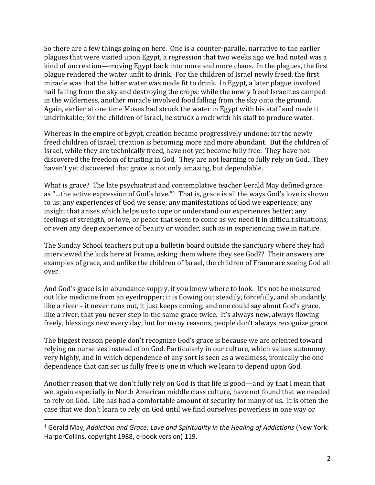So there are a few things going on here. One is a counter-parallel narrative to the earlier plagues that were visited upon Egypt, a regression that two weeks ago we had noted was a kind of uncreation—moving Egypt back into more and more chaos. In the plagues, the first plague rendered the water unfit to drink. For the children of Israel newly freed, the first miracle was that the bitter water was made fit to drink. In Egypt, a later plague involved hail falling from the sky and destroying the crops; while the newly freed Israelites camped in the wilderness, another miracle involved food falling from the sky onto the ground. Again, earlier at one time Moses had struck the water in Egypt with his staff and made it undrinkable; for the children of Israel, he struck a rock with his staff to produce water.

Whereas in the empire of Egypt, creation became progressively undone; for the newly freed children of Israel, creation is becoming more and more abundant. But the children of Israel, while they are technically freed, have not yet become fully free. They have not discovered the freedom of trusting in God. They are not learning to fully rely on God. They haven't yet discovered that grace is not only amazing, but dependable.

What is grace? The late psychiatrist and contemplative teacher Gerald May defined grace as "…the active expression of God's love."<sup>1</sup> That is, grace is all the ways God's love is shown to us: any experiences of God we sense; any manifestations of God we experience; any insight that arises which helps us to cope or understand our experiences better; any feelings of strength, or love, or peace that seem to come as we need it in difficult situations; or even any deep experience of beauty or wonder, such as in experiencing awe in nature.

The Sunday School teachers put up a bulletin board outside the sanctuary where they had interviewed the kids here at Frame, asking them where they see God?? Their answers are examples of grace, and unlike the children of Israel, the children of Frame are seeing God all over.

And God's grace is in abundance supply, if you know where to look. It's not be measured out like medicine from an eyedropper; it is flowing out steadily, forcefully, and abundantly like a river – it never runs out, it just keeps coming, and one could say about God's grace, like a river, that you never step in the same grace twice. It's always new, always flowing freely, blessings new every day, but for many reasons, people don't always recognize grace.

The biggest reason people don't recognize God's grace is because we are oriented toward relying on ourselves instead of on God. Particularly in our culture, which values autonomy very highly, and in which dependence of any sort is seen as a weakness, ironically the one dependence that can set us fully free is one in which we learn to depend upon God.

Another reason that we don't fully rely on God is that life is good—and by that I mean that we, again especially in North American middle class culture, have not found that we needed to rely on God. Life has had a comfortable amount of security for many of us. It is often the case that we don't learn to rely on God until we find ourselves powerless in one way or

 $\overline{a}$ 

<sup>1</sup> Gerald May, *Addiction and Grace: Love and Spirituality in the Healing of Addictions* (New York: HarperCollins, copyright 1988, e-book version) 119.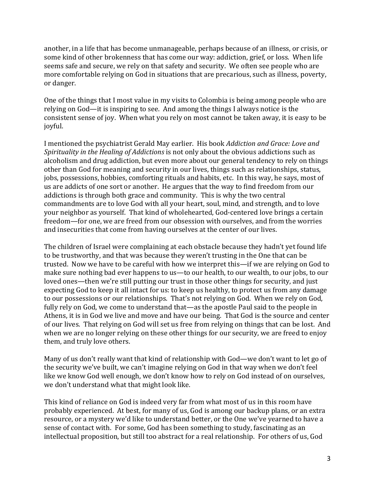another, in a life that has become unmanageable, perhaps because of an illness, or crisis, or some kind of other brokenness that has come our way: addiction, grief, or loss. When life seems safe and secure, we rely on that safety and security. We often see people who are more comfortable relying on God in situations that are precarious, such as illness, poverty, or danger.

One of the things that I most value in my visits to Colombia is being among people who are relying on God—it is inspiring to see. And among the things I always notice is the consistent sense of joy. When what you rely on most cannot be taken away, it is easy to be joyful.

I mentioned the psychiatrist Gerald May earlier. His book *Addiction and Grace: Love and Spirituality in the Healing of Addictions* is not only about the obvious addictions such as alcoholism and drug addiction, but even more about our general tendency to rely on things other than God for meaning and security in our lives, things such as relationships, status, jobs, possessions, hobbies, comforting rituals and habits, etc. In this way, he says, most of us are addicts of one sort or another. He argues that the way to find freedom from our addictions is through both grace and community. This is why the two central commandments are to love God with all your heart, soul, mind, and strength, and to love your neighbor as yourself. That kind of wholehearted, God-centered love brings a certain freedom—for one, we are freed from our obsession with ourselves, and from the worries and insecurities that come from having ourselves at the center of our lives.

The children of Israel were complaining at each obstacle because they hadn't yet found life to be trustworthy, and that was because they weren't trusting in the One that can be trusted. Now we have to be careful with how we interpret this—if we are relying on God to make sure nothing bad ever happens to us—to our health, to our wealth, to our jobs, to our loved ones—then we're still putting our trust in those other things for security, and just expecting God to keep it all intact for us: to keep us healthy, to protect us from any damage to our possessions or our relationships. That's not relying on God. When we rely on God, fully rely on God, we come to understand that—as the apostle Paul said to the people in Athens, it is in God we live and move and have our being. That God is the source and center of our lives. That relying on God will set us free from relying on things that can be lost. And when we are no longer relying on these other things for our security, we are freed to enjoy them, and truly love others.

Many of us don't really want that kind of relationship with God—we don't want to let go of the security we've built, we can't imagine relying on God in that way when we don't feel like we know God well enough, we don't know how to rely on God instead of on ourselves, we don't understand what that might look like.

This kind of reliance on God is indeed very far from what most of us in this room have probably experienced. At best, for many of us, God is among our backup plans, or an extra resource, or a mystery we'd like to understand better, or the One we've yearned to have a sense of contact with. For some, God has been something to study, fascinating as an intellectual proposition, but still too abstract for a real relationship. For others of us, God